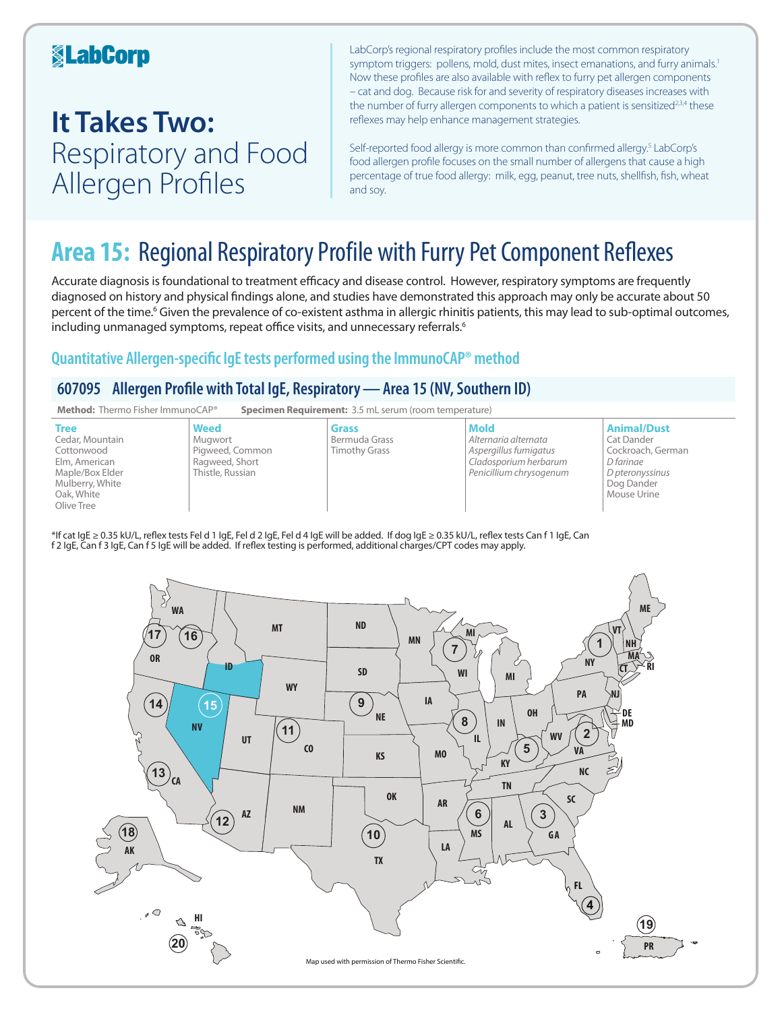### **KabCorp**

## **It Takes Two:**  Respiratory and Food Allergen Profiles

LabCorp's regional respiratory profiles include the most common respiratory symptom triggers: pollens, mold, dust mites, insect emanations, and furry animals.<sup>1</sup> Now these profiles are also available with reflex to furry pet allergen components – cat and dog. Because risk for and severity of respiratory diseases increases with the number of furry allergen components to which a patient is sensitized<sup>2,3,4</sup> these reflexes may help enhance management strategies.

Self-reported food allergy is more common than confirmed allergy.<sup>5</sup> LabCorp's food allergen profile focuses on the small number of allergens that cause a high percentage of true food allergy: milk, egg, peanut, tree nuts, shellfish, fish, wheat and soy.

## **Area 15:** Regional Respiratory Profile with Furry Pet Component Reflexes

Accurate diagnosis is foundational to treatment efficacy and disease control. However, respiratory symptoms are frequently diagnosed on history and physical findings alone, and studies have demonstrated this approach may only be accurate about 50 percent of the time.<sup>6</sup> Given the prevalence of co-existent asthma in allergic rhinitis patients, this may lead to sub-optimal outcomes, including unmanaged symptoms, repeat office visits, and unnecessary referrals.<sup>6</sup>

### **Quantitative Allergen-specific IgE tests performed using the ImmunoCAP® method**

### **607095 Allergen Profile with Total IgE, Respiratory—Area 15 (NV, Southern ID)**



\*If cat IgE ≥ 0.35 kU/L, reflex tests Fel d 1 IgE, Fel d 2 IgE, Fel d 4 IgE will be added. If dog IgE ≥ 0.35 kU/L, reflex tests Can f 1 IgE, Can f 2 IgE, Can f 3 IgE, Can f 5 IgE will be added. If reflex testing is performed, additional charges/CPT codes may apply.